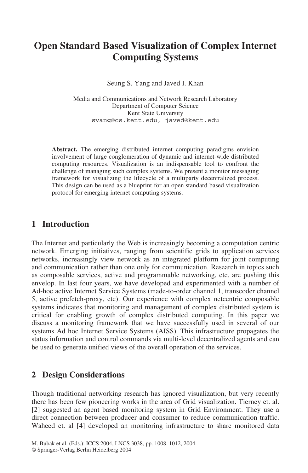# **Open Standard Based Visualization of Complex Internet Computing Systems**

Seung S. Yang and Javed I. Khan

Media and Communications and Network Research Laboratory Department of Computer Science Kent State University syang@cs.kent.edu, javed@kent.edu

**Abstract.** The emerging distributed internet computing paradigms envision involvement of large conglomeration of dynamic and internet-wide distributed computing resources. Visualization is an indispensable tool to confront the challenge of managing such complex systems. We present a monitor messaging framework for visualizing the lifecycle of a multiparty decentralized process. This design can be used as a blueprint for an open standard based visualization protocol for emerging internet computing systems.

### **1 Introduction**

The Internet and particularly the Web is increasingly becoming a computation centric network. Emerging initiatives, ranging from scientific grids to application services networks, increasingly view network as an integrated platform for joint computing and communication rather than one only for communication. Research in topics such as composable services, active and programmable networking, etc. are pushing this envelop. In last four years, we have developed and experimented with a number of Ad-hoc active Internet Service Systems (made-to-order channel 1, transcoder channel 5, active prefetch-proxy, etc). Our experience with complex netcentric composable systems indicates that monitoring and management of complex distributed system is critical for enabling growth of complex distributed computing. In this paper we discuss a monitoring framework that we have successfully used in several of our systems Ad hoc Internet Service Systems (AISS). This infrastructure propagates the status information and control commands via multi-level decentralized agents and can be used to generate unified views of the overall operation of the services.

### **2 Design Considerations**

Though traditional networking research has ignored visualization, but very recently there has been few pioneering works in the area of Grid visualization. Tierney et. al. [2] suggested an agent based monitoring system in Grid Environment. They use a direct connection between producer and consumer to reduce communication traffic. Waheed et. al [4] developed an monitoring infrastructure to share monitored data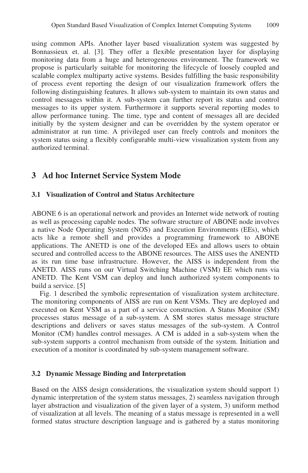using common APIs. Another layer based visualization system was suggested by Bonnassieux et. al. [3]. They offer a flexible presentation layer for displaying monitoring data from a huge and heterogeneous environment. The framework we propose is particularly suitable for monitoring the lifecycle of loosely coupled and scalable complex multiparty active systems. Besides fulfilling the basic responsibility of process event reporting the design of our visualization framework offers the following distinguishing features. It allows sub-system to maintain its own status and control messages within it. A sub-system can further report its status and control messages to its upper system. Furthermore it supports several reporting modes to allow performance tuning. The time, type and content of messages all are decided initially by the system designer and can be overridden by the system operator or administrator at run time. A privileged user can freely controls and monitors the system status using a flexibly configurable multi-view visualization system from any authorized terminal.

## **3 Ad hoc Internet Service System Mode**

#### **3.1 Visualization of Control and Status Architecture**

ABONE 6 is an operational network and provides an Internet wide network of routing as well as processing capable nodes. The software structure of ABONE node involves a native Node Operating System (NOS) and Execution Environments (EEs), which acts like a remote shell and provides a programming framework to ABONE applications. The ANETD is one of the developed EEs and allows users to obtain secured and controlled access to the ABONE resources. The AISS uses the ANENTD as its run time base infrastructure. However, the AISS is independent from the ANETD. AISS runs on our Virtual Switching Machine (VSM) EE which runs via ANETD. The Kent VSM can deploy and lunch authorized system components to build a service. [5]

Fig. 1 described the symbolic representation of visualization system architecture. The monitoring components of AISS are run on Kent VSMs. They are deployed and executed on Kent VSM as a part of a service construction. A Status Monitor (SM) processes status message of a sub-system. A SM stores status message structure descriptions and delivers or saves status messages of the sub-system. A Control Monitor (CM) handles control messages. A CM is added in a sub-system when the sub-system supports a control mechanism from outside of the system. Initiation and execution of a monitor is coordinated by sub-system management software.

#### **3.2 Dynamic Message Binding and Interpretation**

Based on the AISS design considerations, the visualization system should support 1) dynamic interpretation of the system status messages, 2) seamless navigation through layer abstraction and visualization of the given layer of a system, 3) uniform method of visualization at all levels. The meaning of a status message is represented in a well formed status structure description language and is gathered by a status monitoring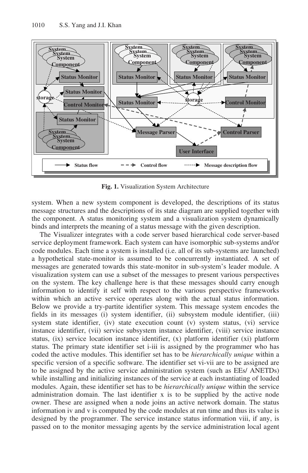

**Fig. 1.** Visualization System Architecture

system. When a new system component is developed, the descriptions of its status message structures and the descriptions of its state diagram are supplied together with the component. A status monitoring system and a visualization system dynamically binds and interprets the meaning of a status message with the given description.

The Visualizer integrates with a code server based hierarchical code server-based service deployment framework. Each system can have isomorphic sub-systems and/or code modules. Each time a system is installed (i.e. all of its sub-systems are launched) a hypothetical state-monitor is assumed to be concurrently instantiated. A set of messages are generated towards this state-monitor in sub-system's leader module. A visualization system can use a subset of the messages to present various perspectives on the system. The key challenge here is that these messages should carry enough information to identify it self with respect to the various perspective frameworks within which an active service operates along with the actual status information. Below we provide a try-partite identifier system. This message system encodes the fields in its messages (i) system identifier, (ii) subsystem module identifier, (iii) system state identifier, (iv) state execution count (v) system status, (vi) service instance identifier, (vii) service subsystem instance identifier, (viii) service instance status, (ix) service location instance identifier, (x) platform identifier (xi) platform status. The primary state identifier set i-iii is assigned by the programmer who has coded the active modules. This identifier set has to be *hierarchically unique* within a specific version of a specific software. The identifier set vi-vii are to be assigned are to be assigned by the active service administration system (such as EEs/ ANETDs) while installing and initializing instances of the service at each instantiating of loaded modules. Again, these identifier set has to be *hierarchically unique* within the service administration domain. The last identifier x is to be supplied by the active node owner. These are assigned when a node joins an active network domain. The status information iv and v is computed by the code modules at run time and thus its value is designed by the programmer. The service instance status information viii, if any, is passed on to the monitor messaging agents by the service administration local agent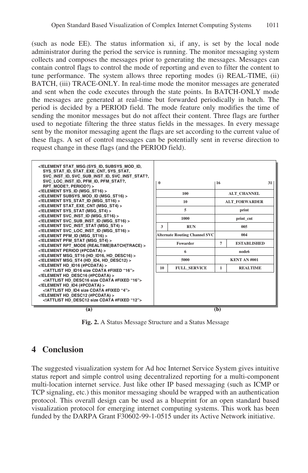(such as node EE). The status information xi, if any, is set by the local node administrator during the period the service is running. The monitor messaging system collects and composes the messages prior to generating the messages. Messages can contain control flags to control the mode of reporting and even to filter the content to tune performance. The system allows three reporting modes (i) REAL-TIME, (ii) BATCH, (iii) TRACE-ONLY. In real-time mode the monitor messages are generated and sent when the code executes through the state points. In BATCH-ONLY mode the messages are generated at real-time but forwarded periodically in batch. The period is decided by a PERIOD field. The mode feature only modifies the time of sending the monitor messages but do not affect their content. Three flags are further used to negotiate filtering the three status fields in the messages. In every message sent by the monitor messaging agent the flags are set according to the current value of these flags. A set of control messages can be potentially sent in reverse direction to request change in these flags (and the PERIOD field).



**Fig. 2.** A Status Message Structure and a Status Message

## **4 Conclusion**

The suggested visualization system for Ad hoc Internet Service System gives intuitive status report and simple control using decentralized reporting for a multi-component multi-location internet service. Just like other IP based messaging (such as ICMP or TCP signaling, etc.) this monitor messaging should be wrapped with an authentication protocol. This overall design can be used as a blueprint for an open standard based visualization protocol for emerging internet computing systems. This work has been funded by the DARPA Grant F30602-99-1-0515 under its Active Network initiative.